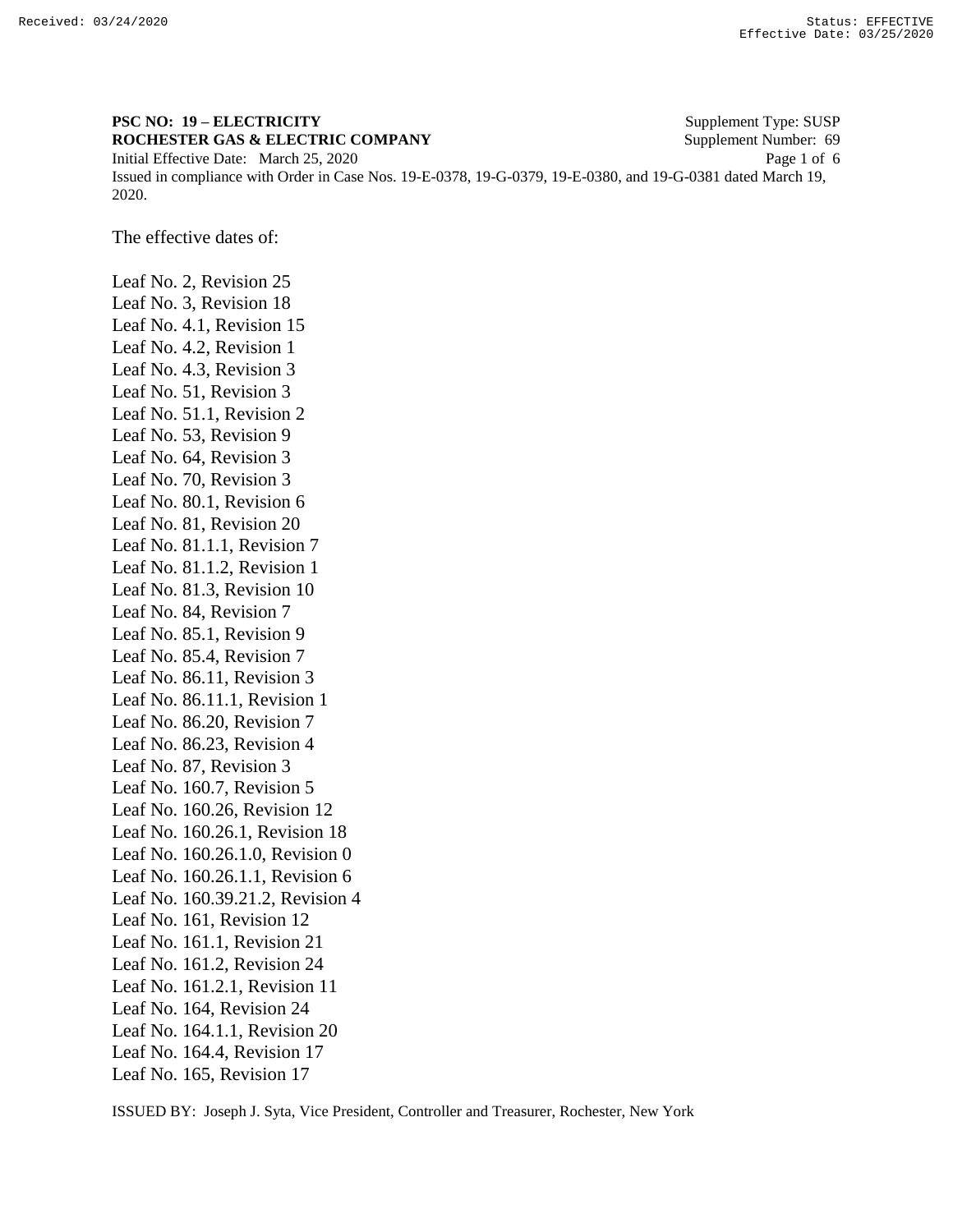2020.

## **PSC NO: 19 – ELECTRICITY** Supplement Type: SUSP **ROCHESTER GAS & ELECTRIC COMPANY** Supplement Number: 69 Initial Effective Date: March 25, 2020 Page 1 of 6 Issued in compliance with Order in Case Nos. 19-E-0378, 19-G-0379, 19-E-0380, and 19-G-0381 dated March 19,

The effective dates of:

Leaf No. 2, Revision 25 Leaf No. 3, Revision 18 Leaf No. 4.1, Revision 15 Leaf No. 4.2, Revision 1 Leaf No. 4.3, Revision 3 Leaf No. 51, Revision 3 Leaf No. 51.1, Revision 2 Leaf No. 53, Revision 9 Leaf No. 64, Revision 3 Leaf No. 70, Revision 3 Leaf No. 80.1, Revision 6 Leaf No. 81, Revision 20 Leaf No. 81.1.1, Revision 7 Leaf No. 81.1.2, Revision 1 Leaf No. 81.3, Revision 10 Leaf No. 84, Revision 7 Leaf No. 85.1, Revision 9 Leaf No. 85.4, Revision 7 Leaf No. 86.11, Revision 3 Leaf No. 86.11.1, Revision 1 Leaf No. 86.20, Revision 7 Leaf No. 86.23, Revision 4 Leaf No. 87, Revision 3 Leaf No. 160.7, Revision 5 Leaf No. 160.26, Revision 12 Leaf No. 160.26.1, Revision 18 Leaf No. 160.26.1.0, Revision 0 Leaf No. 160.26.1.1, Revision 6 Leaf No. 160.39.21.2, Revision 4 Leaf No. 161, Revision 12 Leaf No. 161.1, Revision 21 Leaf No. 161.2, Revision 24 Leaf No. 161.2.1, Revision 11 Leaf No. 164, Revision 24 Leaf No. 164.1.1, Revision 20 Leaf No. 164.4, Revision 17 Leaf No. 165, Revision 17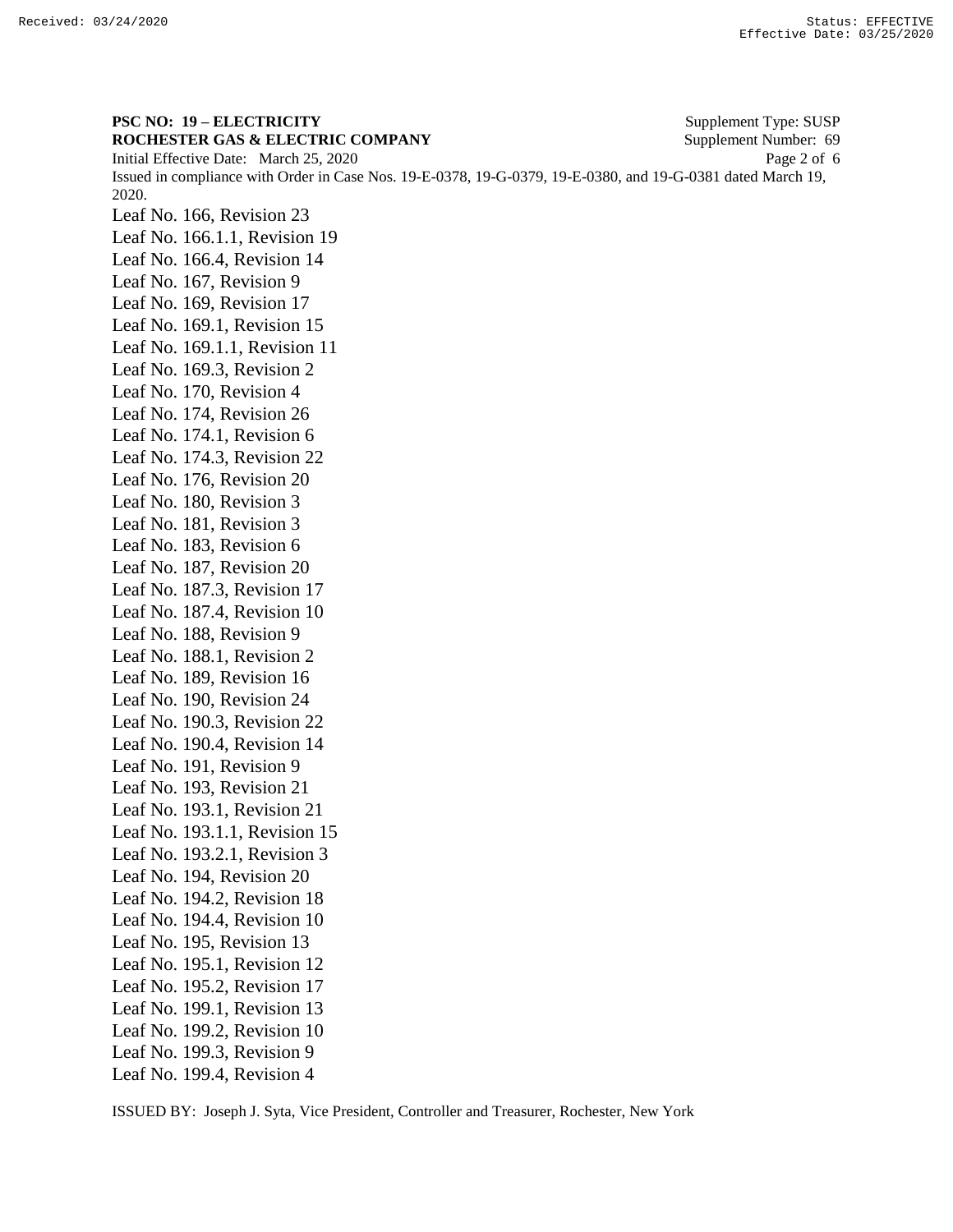**PSC NO: 19 – ELECTRICITY** Supplement Type: SUSP **ROCHESTER GAS & ELECTRIC COMPANY** Supplement Number: 69 Initial Effective Date: March 25, 2020 Page 2 of 6 Issued in compliance with Order in Case Nos. 19-E-0378, 19-G-0379, 19-E-0380, and 19-G-0381 dated March 19, 2020. Leaf No. 166, Revision 23 Leaf No. 166.1.1, Revision 19 Leaf No. 166.4, Revision 14 Leaf No. 167, Revision 9 Leaf No. 169, Revision 17 Leaf No. 169.1, Revision 15 Leaf No. 169.1.1, Revision 11 Leaf No. 169.3, Revision 2 Leaf No. 170, Revision 4 Leaf No. 174, Revision 26 Leaf No. 174.1, Revision 6 Leaf No. 174.3, Revision 22 Leaf No. 176, Revision 20 Leaf No. 180, Revision 3 Leaf No. 181, Revision 3 Leaf No. 183, Revision 6 Leaf No. 187, Revision 20 Leaf No. 187.3, Revision 17 Leaf No. 187.4, Revision 10 Leaf No. 188, Revision 9 Leaf No. 188.1, Revision 2 Leaf No. 189, Revision 16 Leaf No. 190, Revision 24 Leaf No. 190.3, Revision 22 Leaf No. 190.4, Revision 14 Leaf No. 191, Revision 9 Leaf No. 193, Revision 21 Leaf No. 193.1, Revision 21 Leaf No. 193.1.1, Revision 15 Leaf No. 193.2.1, Revision 3 Leaf No. 194, Revision 20 Leaf No. 194.2, Revision 18 Leaf No. 194.4, Revision 10 Leaf No. 195, Revision 13 Leaf No. 195.1, Revision 12 Leaf No. 195.2, Revision 17 Leaf No. 199.1, Revision 13 Leaf No. 199.2, Revision 10 Leaf No. 199.3, Revision 9 Leaf No. 199.4, Revision 4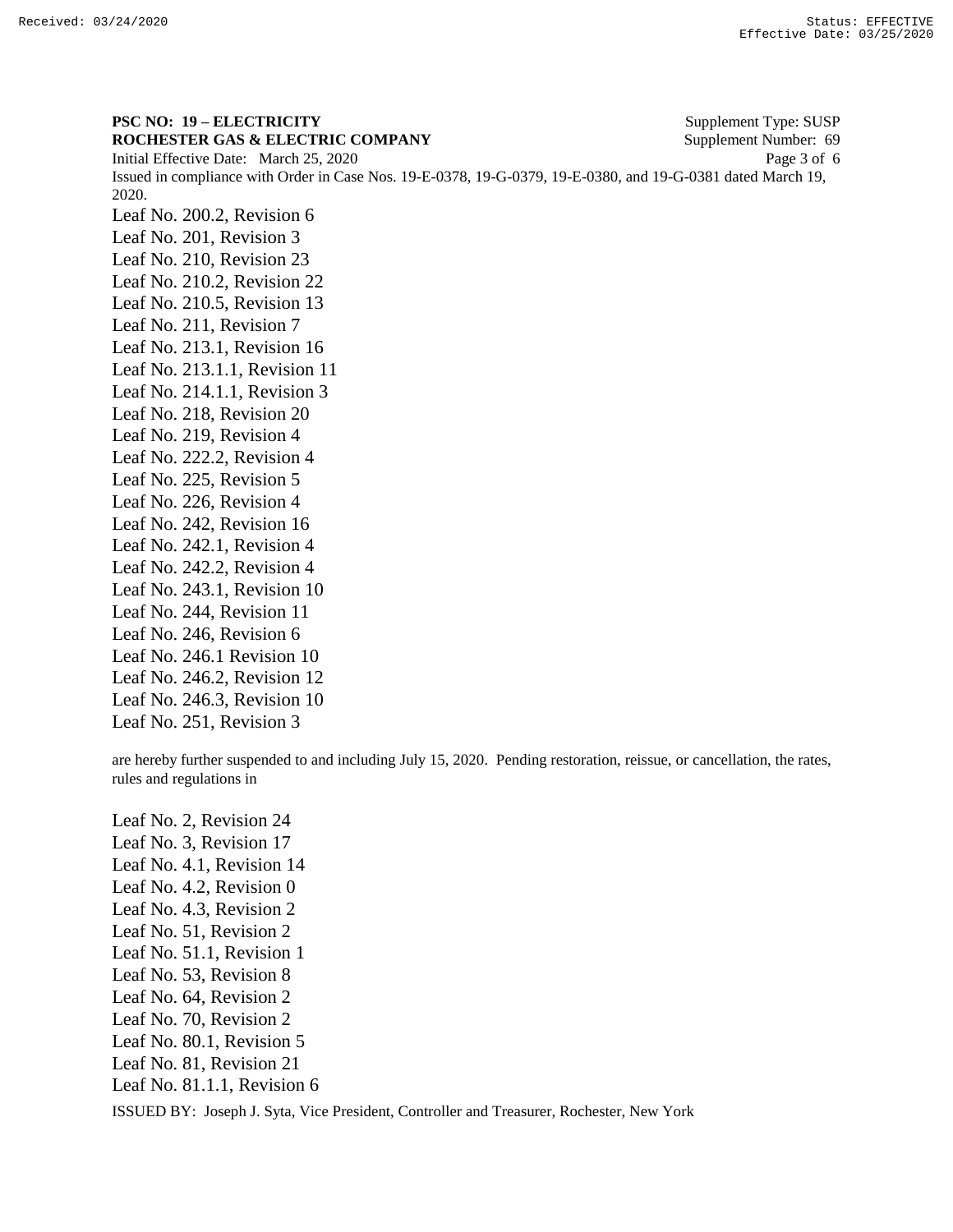**PSC NO: 19 – ELECTRICITY** Supplement Type: SUSP **ROCHESTER GAS & ELECTRIC COMPANY** Supplement Number: 69 Initial Effective Date: March 25, 2020 Page 3 of 6 Issued in compliance with Order in Case Nos. 19-E-0378, 19-G-0379, 19-E-0380, and 19-G-0381 dated March 19, 2020. Leaf No. 200.2, Revision 6 Leaf No. 201, Revision 3 Leaf No. 210, Revision 23 Leaf No. 210.2, Revision 22 Leaf No. 210.5, Revision 13 Leaf No. 211, Revision 7 Leaf No. 213.1, Revision 16 Leaf No. 213.1.1, Revision 11 Leaf No. 214.1.1, Revision 3 Leaf No. 218, Revision 20 Leaf No. 219, Revision 4 Leaf No. 222.2, Revision 4 Leaf No. 225, Revision 5 Leaf No. 226, Revision 4 Leaf No. 242, Revision 16 Leaf No. 242.1, Revision 4 Leaf No. 242.2, Revision 4 Leaf No. 243.1, Revision 10 Leaf No. 244, Revision 11 Leaf No. 246, Revision 6 Leaf No. 246.1 Revision 10 Leaf No. 246.2, Revision 12 Leaf No. 246.3, Revision 10 Leaf No. 251, Revision 3

are hereby further suspended to and including July 15, 2020. Pending restoration, reissue, or cancellation, the rates, rules and regulations in

Leaf No. 2, Revision 24 Leaf No. 3, Revision 17 Leaf No. 4.1, Revision 14 Leaf No. 4.2, Revision 0 Leaf No. 4.3, Revision 2 Leaf No. 51, Revision 2 Leaf No. 51.1, Revision 1 Leaf No. 53, Revision 8 Leaf No. 64, Revision 2 Leaf No. 70, Revision 2 Leaf No. 80.1, Revision 5 Leaf No. 81, Revision 21 Leaf No. 81.1.1, Revision 6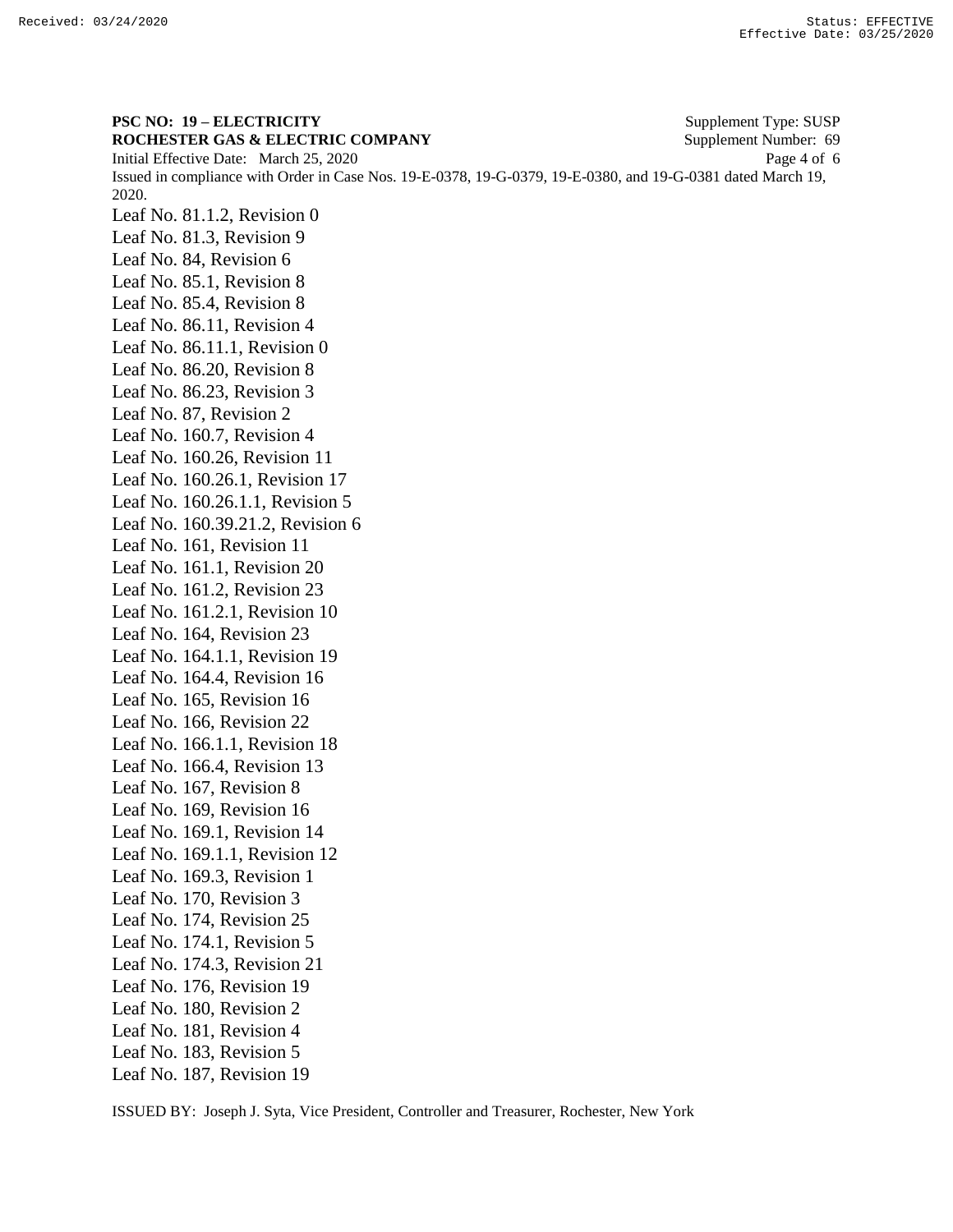**PSC NO: 19 – ELECTRICITY** Supplement Type: SUSP **ROCHESTER GAS & ELECTRIC COMPANY** Supplement Number: 69 Initial Effective Date: March 25, 2020 Page 4 of 6 Issued in compliance with Order in Case Nos. 19-E-0378, 19-G-0379, 19-E-0380, and 19-G-0381 dated March 19, 2020. Leaf No. 81.1.2, Revision 0 Leaf No. 81.3, Revision 9 Leaf No. 84, Revision 6 Leaf No. 85.1, Revision 8 Leaf No. 85.4, Revision 8 Leaf No. 86.11, Revision 4 Leaf No. 86.11.1, Revision 0 Leaf No. 86.20, Revision 8 Leaf No. 86.23, Revision 3 Leaf No. 87, Revision 2 Leaf No. 160.7, Revision 4 Leaf No. 160.26, Revision 11 Leaf No. 160.26.1, Revision 17 Leaf No. 160.26.1.1, Revision 5 Leaf No. 160.39.21.2, Revision 6 Leaf No. 161, Revision 11 Leaf No. 161.1, Revision 20 Leaf No. 161.2, Revision 23 Leaf No. 161.2.1, Revision 10 Leaf No. 164, Revision 23 Leaf No. 164.1.1, Revision 19 Leaf No. 164.4, Revision 16 Leaf No. 165, Revision 16 Leaf No. 166, Revision 22 Leaf No. 166.1.1, Revision 18 Leaf No. 166.4, Revision 13 Leaf No. 167, Revision 8 Leaf No. 169, Revision 16 Leaf No. 169.1, Revision 14 Leaf No. 169.1.1, Revision 12 Leaf No. 169.3, Revision 1 Leaf No. 170, Revision 3 Leaf No. 174, Revision 25 Leaf No. 174.1, Revision 5 Leaf No. 174.3, Revision 21 Leaf No. 176, Revision 19 Leaf No. 180, Revision 2 Leaf No. 181, Revision 4 Leaf No. 183, Revision 5 Leaf No. 187, Revision 19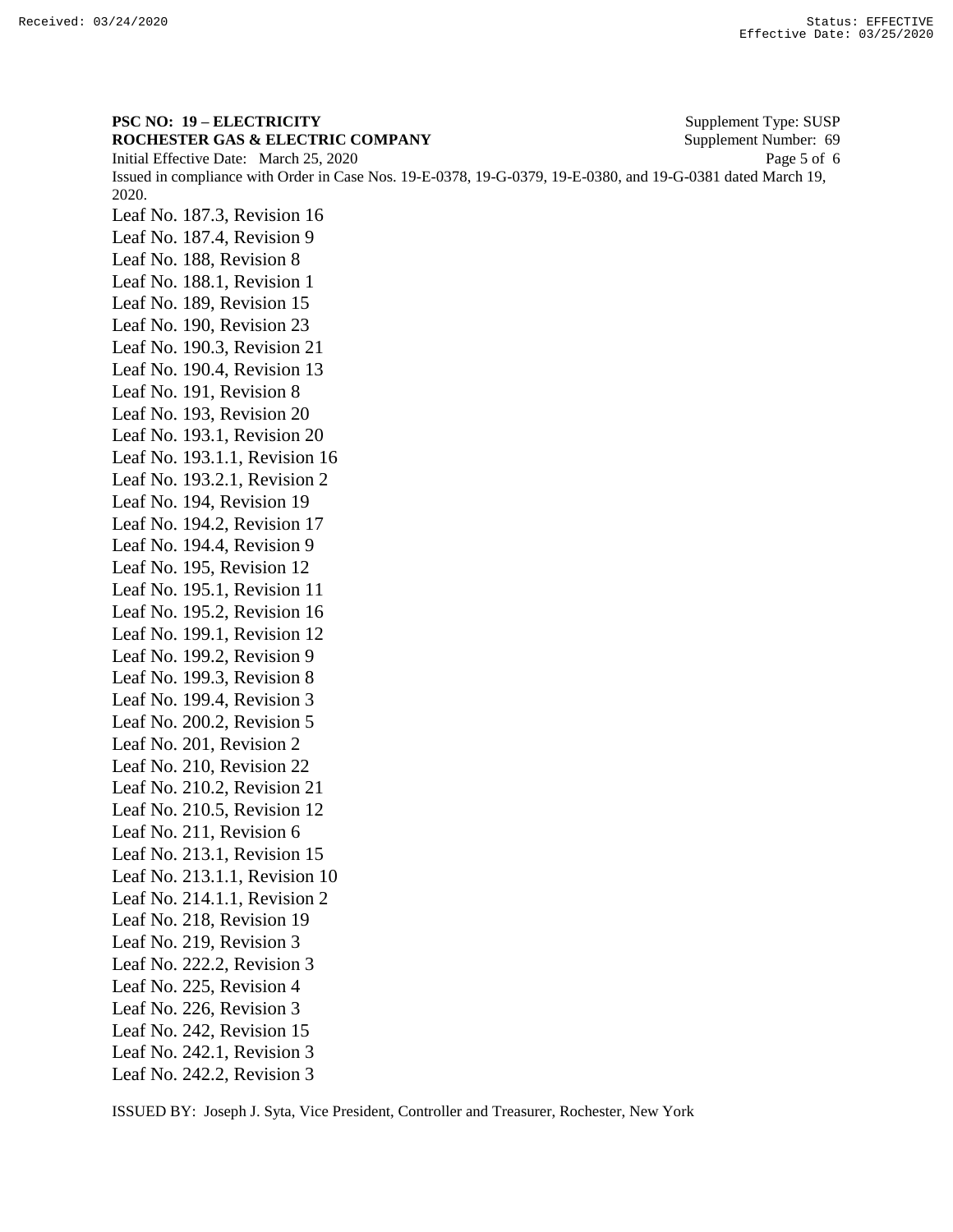**PSC NO: 19 – ELECTRICITY** Supplement Type: SUSP **ROCHESTER GAS & ELECTRIC COMPANY** Supplement Number: 69 Initial Effective Date: March 25, 2020 Page 5 of 6 Issued in compliance with Order in Case Nos. 19-E-0378, 19-G-0379, 19-E-0380, and 19-G-0381 dated March 19, 2020. Leaf No. 187.3, Revision 16 Leaf No. 187.4, Revision 9 Leaf No. 188, Revision 8 Leaf No. 188.1, Revision 1 Leaf No. 189, Revision 15 Leaf No. 190, Revision 23 Leaf No. 190.3, Revision 21 Leaf No. 190.4, Revision 13 Leaf No. 191, Revision 8 Leaf No. 193, Revision 20 Leaf No. 193.1, Revision 20 Leaf No. 193.1.1, Revision 16 Leaf No. 193.2.1, Revision 2 Leaf No. 194, Revision 19 Leaf No. 194.2, Revision 17 Leaf No. 194.4, Revision 9 Leaf No. 195, Revision 12 Leaf No. 195.1, Revision 11 Leaf No. 195.2, Revision 16 Leaf No. 199.1, Revision 12 Leaf No. 199.2, Revision 9 Leaf No. 199.3, Revision 8 Leaf No. 199.4, Revision 3 Leaf No. 200.2, Revision 5 Leaf No. 201, Revision 2 Leaf No. 210, Revision 22 Leaf No. 210.2, Revision 21 Leaf No. 210.5, Revision 12 Leaf No. 211, Revision 6 Leaf No. 213.1, Revision 15 Leaf No. 213.1.1, Revision 10 Leaf No. 214.1.1, Revision 2 Leaf No. 218, Revision 19 Leaf No. 219, Revision 3 Leaf No. 222.2, Revision 3 Leaf No. 225, Revision 4 Leaf No. 226, Revision 3 Leaf No. 242, Revision 15 Leaf No. 242.1, Revision 3 Leaf No. 242.2, Revision 3